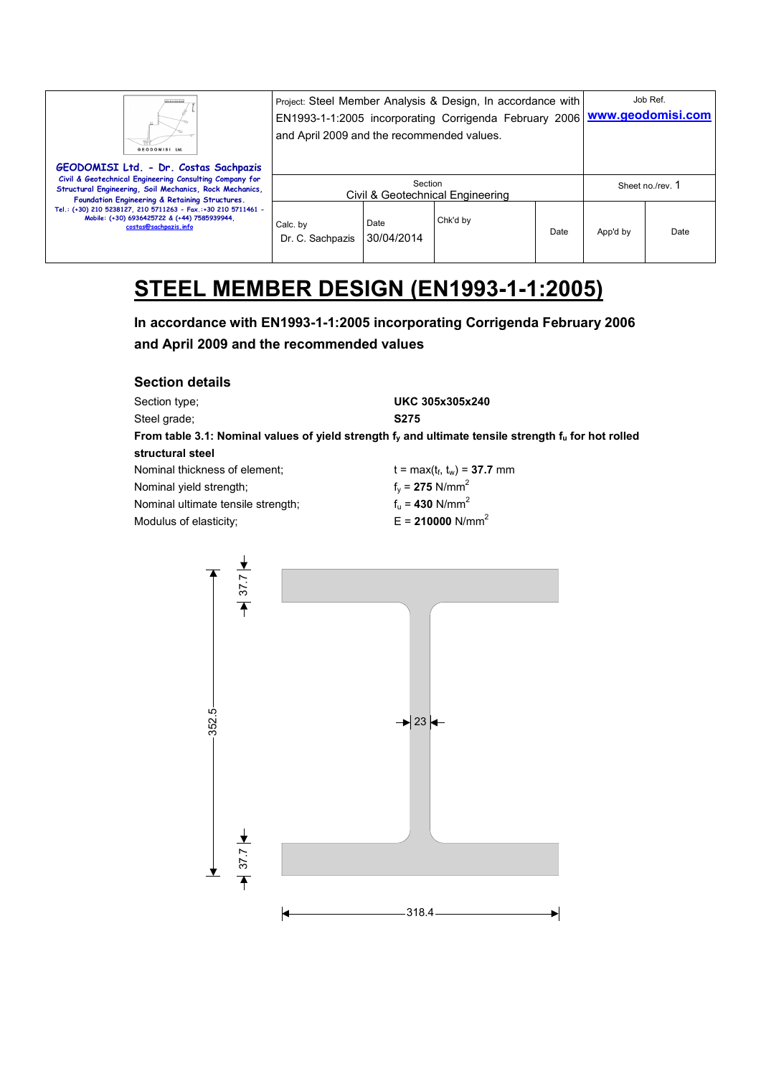| Щ<br>GEODOMISI Ltd.                                                                                                                                                                                           | Project: Steel Member Analysis & Design, In accordance with<br>EN1993-1-1:2005 incorporating Corrigenda February 2006<br>and April 2009 and the recommended values. | Job Ref.<br>www.geodomisi.com |          |      |                  |      |
|---------------------------------------------------------------------------------------------------------------------------------------------------------------------------------------------------------------|---------------------------------------------------------------------------------------------------------------------------------------------------------------------|-------------------------------|----------|------|------------------|------|
| GEODOMISI Ltd. - Dr. Costas Sachpazis<br>Civil & Geotechnical Engineering Consulting Company for<br>Structural Engineering, Soil Mechanics, Rock Mechanics,<br>Foundation Engineering & Retaining Structures. | Section<br>Civil & Geotechnical Engineering                                                                                                                         |                               |          |      | Sheet no./rev. 1 |      |
| Tel.: (+30) 210 5238127, 210 5711263 - Fax.:+30 210 5711461 -<br>Mobile: (+30) 6936425722 & (+44) 7585939944,<br>costas@sachpazis.info                                                                        | Calc. by<br>Dr. C. Sachpazis                                                                                                                                        | Date<br>30/04/2014            | Chk'd by | Date | App'd by         | Date |

# **STEEL MEMBER DESIGN (EN1993-1-1:2005)**

**In accordance with EN1993-1-1:2005 incorporating Corrigenda February 2006 and April 2009 and the recommended values** 

| <b>Section details</b>                                                                                    |                                |
|-----------------------------------------------------------------------------------------------------------|--------------------------------|
| Section type;                                                                                             | UKC 305x305x240                |
| Steel grade:                                                                                              | <b>S275</b>                    |
| From table 3.1: Nominal values of yield strength $f_v$ and ultimate tensile strength $f_u$ for hot rolled |                                |
| structural steel                                                                                          |                                |
| Nominal thickness of element:                                                                             | $t = max(t_f, t_w) = 37.7$ mm  |
| Nominal yield strength;                                                                                   | $f_v = 275$ N/mm <sup>2</sup>  |
| Nominal ultimate tensile strength;                                                                        | $f_u = 430$ N/mm <sup>2</sup>  |
| Modulus of elasticity;                                                                                    | $E = 210000$ N/mm <sup>2</sup> |

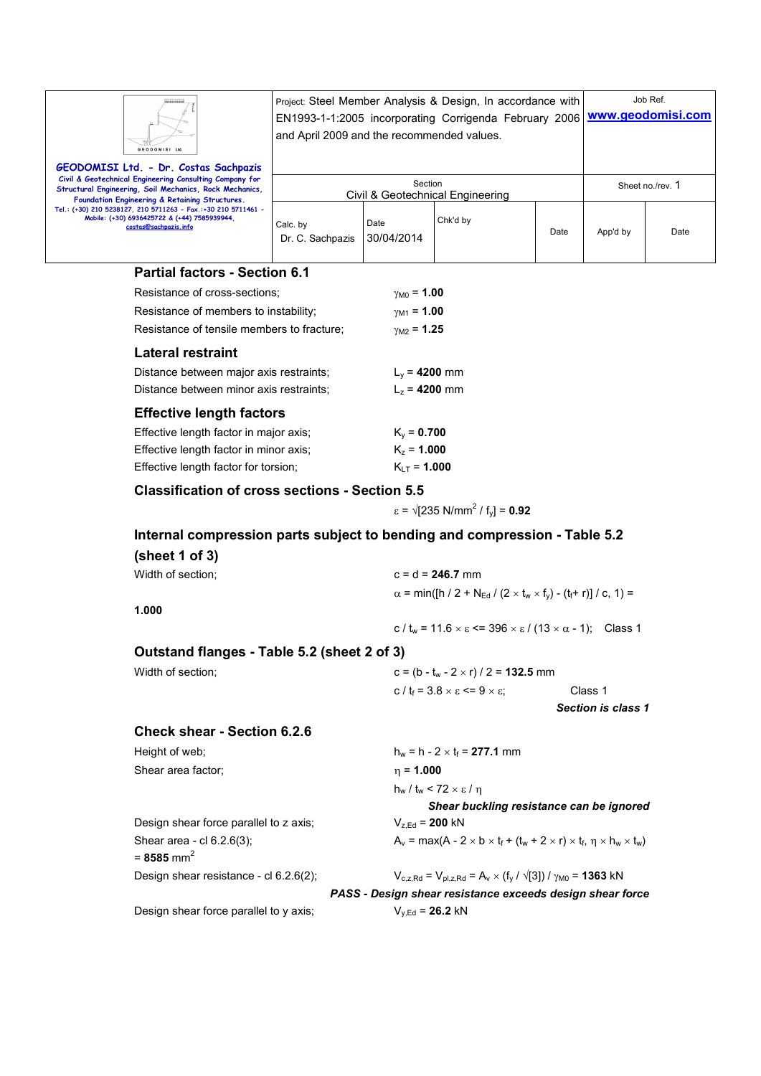| GEODOMISI Ltd.                                                                                                                                                                                                | Project: Steel Member Analysis & Design, In accordance with<br>EN1993-1-1:2005 incorporating Corrigenda February 2006 WWW.geodomisi.com<br>and April 2009 and the recommended values. |                    |          |      |                  | Job Ref. |  |
|---------------------------------------------------------------------------------------------------------------------------------------------------------------------------------------------------------------|---------------------------------------------------------------------------------------------------------------------------------------------------------------------------------------|--------------------|----------|------|------------------|----------|--|
| GEODOMISI Ltd. - Dr. Costas Sachpazis<br>Civil & Geotechnical Engineering Consulting Company for<br>Structural Engineering, Soil Mechanics, Rock Mechanics,<br>Foundation Engineering & Retaining Structures. | Section<br>Civil & Geotechnical Engineering                                                                                                                                           |                    |          |      | Sheet no./rev. 1 |          |  |
| Tel.: (+30) 210 5238127, 210 5711263 - Fax.:+30 210 5711461 -<br>Mobile: (+30) 6936425722 & (+44) 7585939944.<br>costas@sachpazis.info                                                                        | Calc. by<br>Dr. C. Sachpazis                                                                                                                                                          | Date<br>30/04/2014 | Chk'd by | Date | App'd by         | Date     |  |

#### **Partial factors - Section 6.1**

| Resistance of cross-sections:              | $\gamma_{M0} = 1.00$     |
|--------------------------------------------|--------------------------|
| Resistance of members to instability;      | $\gamma_{M1} = 1.00$     |
| Resistance of tensile members to fracture: | $\gamma_{\rm M2}$ = 1.25 |
| <b>Lateral restraint</b>                   |                          |
| Distance between major axis restraints;    | $L_v = 4200$ mm          |
| Distance between minor axis restraints:    | $L_7$ = 4200 mm          |
| <b>Effective length factors</b>            |                          |
| Effective length factor in major axis:     | $K_v = 0.700$            |
| Effective length factor in minor axis;     | $K_z = 1.000$            |
| Effective length factor for torsion;       | $K_{\text{H}}$ = 1.000   |

#### **Classification of cross sections - Section 5.5**

 $\varepsilon = \sqrt{235} \text{ N/mm}^2 / \text{ f}_y = 0.92$ 

### **Internal compression parts subject to bending and compression - Table 5.2**

| (sheet 1 of 3)                                      |                                                                                                                    |                    |  |  |  |  |
|-----------------------------------------------------|--------------------------------------------------------------------------------------------------------------------|--------------------|--|--|--|--|
| Width of section;                                   | $c = d = 246.7$ mm                                                                                                 |                    |  |  |  |  |
|                                                     | $\alpha$ = min([h / 2 + N <sub>Ed</sub> / (2 × t <sub>w</sub> × f <sub>y</sub> ) - (t <sub>f</sub> + r)] / c, 1) = |                    |  |  |  |  |
| 1.000                                               |                                                                                                                    |                    |  |  |  |  |
|                                                     | c/t <sub>w</sub> = 11.6 $\times$ $\varepsilon$ <= 396 $\times$ $\varepsilon$ / (13 $\times$ $\alpha$ - 1); Class 1 |                    |  |  |  |  |
| Outstand flanges - Table 5.2 (sheet 2 of 3)         |                                                                                                                    |                    |  |  |  |  |
| Width of section;                                   | $c = (b - t_w - 2 \times r) / 2 = 132.5$ mm                                                                        |                    |  |  |  |  |
|                                                     | c / $t_f$ = 3.8 $\times$ $\varepsilon$ <= 9 $\times$ $\varepsilon$ ;                                               | Class 1            |  |  |  |  |
|                                                     |                                                                                                                    | Section is class 1 |  |  |  |  |
| <b>Check shear - Section 6.2.6</b>                  |                                                                                                                    |                    |  |  |  |  |
| Height of web;                                      | $h_w = h - 2 \times t_f = 277.1$ mm                                                                                |                    |  |  |  |  |
| Shear area factor;                                  | $\eta = 1.000$                                                                                                     |                    |  |  |  |  |
|                                                     | $h_w / t_w$ < 72 $\times \varepsilon / \eta$                                                                       |                    |  |  |  |  |
|                                                     | Shear buckling resistance can be ignored                                                                           |                    |  |  |  |  |
| Design shear force parallel to z axis;              | $V_{z,Ed} = 200$ kN                                                                                                |                    |  |  |  |  |
| Shear area - cl 6.2.6(3);<br>= 8585 mm <sup>2</sup> | $A_v = max(A - 2 \times b \times t_f + (t_w + 2 \times r) \times t_f, \eta \times h_w \times t_w)$                 |                    |  |  |  |  |
| Design shear resistance - cl 6.2.6(2);              | $V_{c.z.Rd} = V_{ol.z.Rd} = A_v \times (f_v / \sqrt{3}) / \gamma_{M0} = 1363$ kN                                   |                    |  |  |  |  |
|                                                     | PASS - Design shear resistance exceeds design shear force                                                          |                    |  |  |  |  |
| Design shear force parallel to y axis;              | $V_{y,Ed}$ = 26.2 kN                                                                                               |                    |  |  |  |  |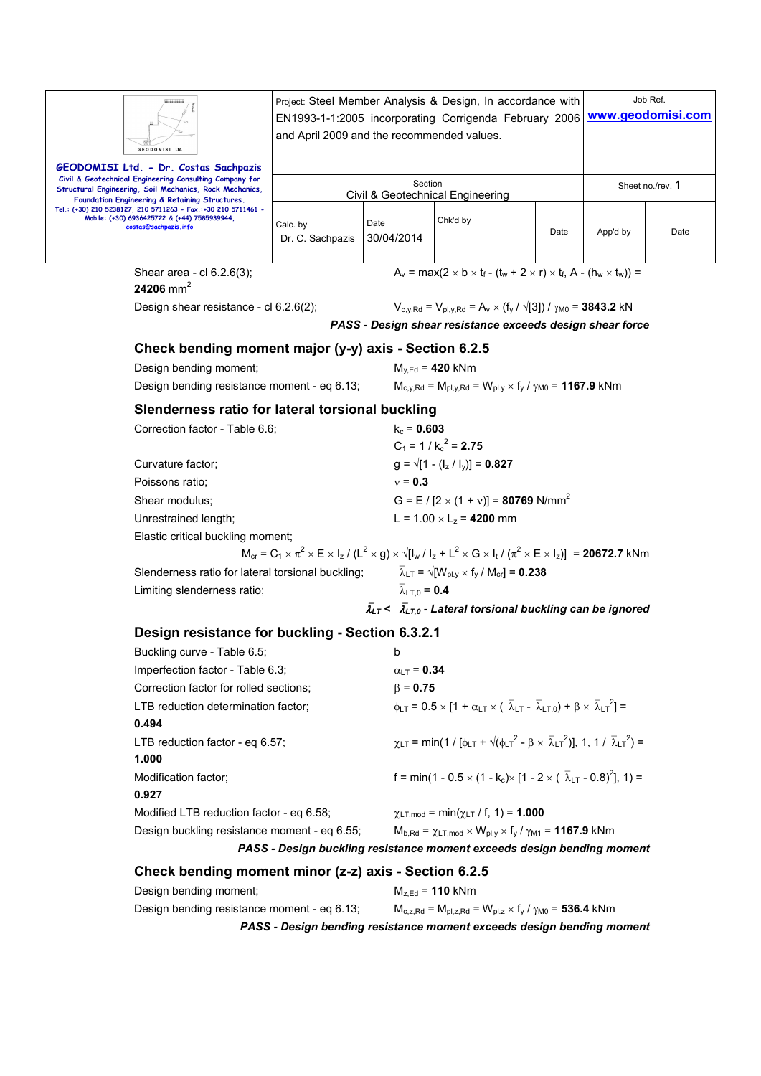| Project: Steel Member Analysis & Design, In accordance with<br>EN1993-1-1:2005 incorporating Corrigenda February 2006<br>and April 2009 and the recommended values.<br>GEODOMISI Ltd |                                 |                                           |                                                                                                                                                                      |      | Job Ref.<br>www.geodomisi.com |                  |  |  |
|--------------------------------------------------------------------------------------------------------------------------------------------------------------------------------------|---------------------------------|-------------------------------------------|----------------------------------------------------------------------------------------------------------------------------------------------------------------------|------|-------------------------------|------------------|--|--|
| GEODOMISI Ltd. - Dr. Costas Sachpazis<br>Civil & Geotechnical Engineering Consulting Company for                                                                                     |                                 |                                           |                                                                                                                                                                      |      |                               |                  |  |  |
| Structural Engineering, Soil Mechanics, Rock Mechanics,<br>Foundation Engineering & Retaining Structures.                                                                            |                                 | Section                                   | Civil & Geotechnical Engineering                                                                                                                                     |      |                               | Sheet no./rev. 1 |  |  |
| Tel.: (+30) 210 5238127, 210 5711263 - Fax.:+30 210 5711461 -<br>Mobile: (+30) 6936425722 & (+44) 7585939944,<br>costas@sachpazis.info                                               | Calc. by<br>Dr. C. Sachpazis    | Date<br>30/04/2014                        | Chk'd by                                                                                                                                                             | Date | App'd by                      | Date             |  |  |
| Shear area - cl 6.2.6(3);<br>24206 mm <sup>2</sup>                                                                                                                                   |                                 |                                           | $A_v = max(2 \times b \times t_f - (t_w + 2 \times r) \times t_f$ , A - $(h_w \times t_w)$ ) =                                                                       |      |                               |                  |  |  |
| Design shear resistance - cl 6.2.6(2);                                                                                                                                               |                                 |                                           | $V_{c,y,Rd} = V_{pl,y,Rd} = A_v \times (f_y / \sqrt{3}) / \gamma_{M0} = 3843.2$ kN                                                                                   |      |                               |                  |  |  |
|                                                                                                                                                                                      |                                 |                                           | PASS - Design shear resistance exceeds design shear force                                                                                                            |      |                               |                  |  |  |
| Check bending moment major (y-y) axis - Section 6.2.5                                                                                                                                |                                 |                                           |                                                                                                                                                                      |      |                               |                  |  |  |
| Design bending moment;                                                                                                                                                               |                                 |                                           | $M_{v,Ed}$ = 420 kNm                                                                                                                                                 |      |                               |                  |  |  |
| Design bending resistance moment - eq 6.13;                                                                                                                                          |                                 |                                           | $M_{c,v,Rd} = M_{pl,v,Rd} = W_{pl.v} \times f_v / \gamma_{M0} = 1167.9$ kNm                                                                                          |      |                               |                  |  |  |
| Slenderness ratio for lateral torsional buckling                                                                                                                                     |                                 |                                           |                                                                                                                                                                      |      |                               |                  |  |  |
|                                                                                                                                                                                      | Correction factor - Table 6.6;  |                                           | $k_c = 0.603$                                                                                                                                                        |      |                               |                  |  |  |
|                                                                                                                                                                                      |                                 |                                           | $C_1 = 1 / k_c^2 = 2.75$                                                                                                                                             |      |                               |                  |  |  |
| Curvature factor;                                                                                                                                                                    |                                 |                                           | $q = \sqrt{1 - (l_z / l_y)} = 0.827$                                                                                                                                 |      |                               |                  |  |  |
| Poissons ratio;                                                                                                                                                                      |                                 | $v = 0.3$                                 |                                                                                                                                                                      |      |                               |                  |  |  |
| Shear modulus;                                                                                                                                                                       |                                 |                                           | G = E / [2 $\times$ (1 + v)] = 80769 N/mm <sup>2</sup>                                                                                                               |      |                               |                  |  |  |
|                                                                                                                                                                                      | Unrestrained length;            |                                           | L = $1.00 \times L_z = 4200$ mm                                                                                                                                      |      |                               |                  |  |  |
| Elastic critical buckling moment;                                                                                                                                                    |                                 |                                           | $M_{cr} = C_1 \times \pi^2 \times E \times I_z / (L^2 \times g) \times \sqrt{[I_w / I_z + L^2 \times G \times I_t / (\pi^2 \times E \times I_z)]} = 20672.7$ kNm     |      |                               |                  |  |  |
| Slenderness ratio for lateral torsional buckling;                                                                                                                                    |                                 |                                           | $\overline{\lambda}_{LT}$ = $\sqrt{[W_{pL}]} \times f_V / [W_{cr}]$ = 0.238                                                                                          |      |                               |                  |  |  |
| Limiting slenderness ratio;                                                                                                                                                          |                                 | $\overline{\lambda}_{1 \text{ to}} = 0.4$ |                                                                                                                                                                      |      |                               |                  |  |  |
|                                                                                                                                                                                      |                                 |                                           | $\bar{\lambda}_{LT}$ < $\bar{\lambda}_{LT,0}$ - Lateral torsional buckling can be ignored                                                                            |      |                               |                  |  |  |
|                                                                                                                                                                                      |                                 |                                           |                                                                                                                                                                      |      |                               |                  |  |  |
| Design resistance for buckling - Section 6.3.2.1                                                                                                                                     |                                 |                                           |                                                                                                                                                                      |      |                               |                  |  |  |
| Buckling curve - Table 6.5;                                                                                                                                                          |                                 | b                                         |                                                                                                                                                                      |      |                               |                  |  |  |
| Imperfection factor - Table 6.3;<br>Correction factor for rolled sections;                                                                                                           |                                 |                                           | $\alpha$ LT = 0.34                                                                                                                                                   |      |                               |                  |  |  |
| LTB reduction determination factor;                                                                                                                                                  |                                 |                                           | $\beta = 0.75$<br>$\phi_{LT} = 0.5 \times [1 + \alpha_{LT} \times (\overline{\lambda}_{LT} - \overline{\lambda}_{LT,0}) + \beta \times \overline{\lambda}_{LT}^2] =$ |      |                               |                  |  |  |
| 0.494                                                                                                                                                                                |                                 |                                           |                                                                                                                                                                      |      |                               |                  |  |  |
| 1.000                                                                                                                                                                                | LTB reduction factor - eq 6.57; |                                           | $\chi$ <sub>LT</sub> = min(1 / [ $\phi$ <sub>LT</sub> + $\sqrt{(\phi_{LT}^2 - \beta \times \overline{\lambda}_{LT}^2)}$ ], 1, 1 / $\overline{\lambda}_{LT}^2$ ) =    |      |                               |                  |  |  |
| Modification factor;<br>0.927                                                                                                                                                        |                                 |                                           | f = min(1 - 0.5 $\times$ (1 - k <sub>c</sub> ) $\times$ [1 - 2 $\times$ ( $\overline{\lambda}_{LT}$ - 0.8) <sup>2</sup> ], 1) =                                      |      |                               |                  |  |  |
| Modified LTB reduction factor - eq 6.58;                                                                                                                                             |                                 |                                           | $\chi$ LT, mod = min( $\chi$ LT / f, 1) = <b>1.000</b>                                                                                                               |      |                               |                  |  |  |
| Design buckling resistance moment - eq 6.55;                                                                                                                                         |                                 |                                           | $M_{b, Rd} = \chi_{LT, mod} \times W_{pl.y} \times f_y / \gamma_{M1} = 1167.9$ kNm                                                                                   |      |                               |                  |  |  |
|                                                                                                                                                                                      |                                 |                                           | PASS - Design buckling resistance moment exceeds design bending moment                                                                                               |      |                               |                  |  |  |
| Check bending moment minor (z-z) axis - Section 6.2.5                                                                                                                                |                                 |                                           |                                                                                                                                                                      |      |                               |                  |  |  |

Design bending moment; Mz,Ed = **110** kNm Design bending resistance moment - eq 6.13;  $M_{c,z,Rd} = M_{pl,z,Rd} = W_{pl,z} \times f_y / \gamma_{M0} = 536.4$  kNm *PASS - Design bending resistance moment exceeds design bending moment*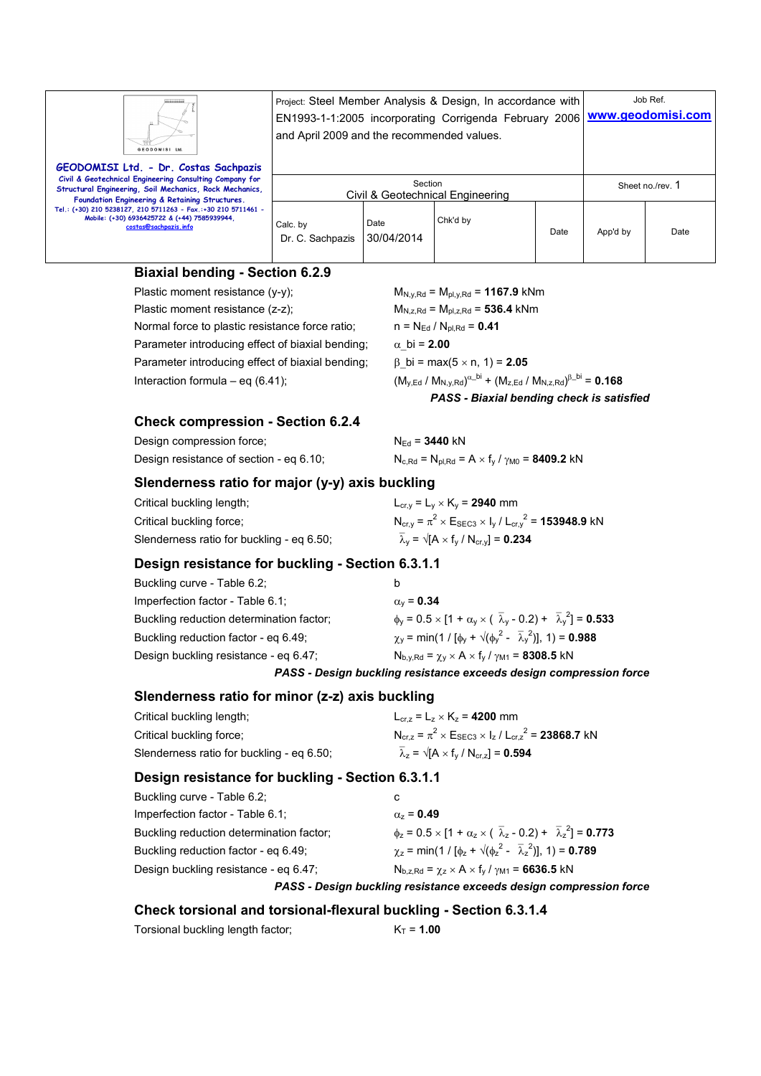| Ш<br>GEODOMISI Ltd.                                                                                                                                                                      | Project: Steel Member Analysis & Design, In accordance with<br>and April 2009 and the recommended values. | Job Ref.<br>EN1993-1-1:2005 incorporating Corrigenda February 2006 WWW.geodomisi.com |          |      |                  |      |
|------------------------------------------------------------------------------------------------------------------------------------------------------------------------------------------|-----------------------------------------------------------------------------------------------------------|--------------------------------------------------------------------------------------|----------|------|------------------|------|
| GEODOMISI Ltd. - Dr. Costas Sachpazis<br>Civil & Geotechnical Engineering Consulting Company for<br>Structural Engineering, Soil Mechanics, Rock Mechanics,                              | Section<br>Civil & Geotechnical Engineering                                                               |                                                                                      |          |      | Sheet no./rev. 1 |      |
| Foundation Engineering & Retaining Structures.<br>Tel.: (+30) 210 5238127, 210 5711263 - Fax.:+30 210 5711461 -<br>Mobile: (+30) 6936425722 & (+44) 7585939944.<br>costas@sachpazis.info | Calc. by<br>Dr. C. Sachpazis                                                                              | Date<br>30/04/2014                                                                   | Chk'd by | Date | App'd by         | Date |

#### **Biaxial bending - Section 6.2.9**

Plastic moment resistance (y-y); M<sub>N,y,Rd</sub> = M<sub>pl,y,Rd</sub> = **1167.9** kNm Plastic moment resistance  $(z-z)$ ;  $M_{N,z,Rd} = M_{pl,z,Rd} = 536.4$  kNm Normal force to plastic resistance force ratio;  $n = N_{Ed} / N_{pl, Rd} = 0.41$ Parameter introducing effect of biaxial bending;  $\alpha$  bi = **2.00** Parameter introducing effect of biaxial bending;  $\beta$  bi = max(5 x n, 1) = **2.05** Interaction formula – eq  $(6.41)$ ;

 $\alpha$ <sup>\_bi</sup> + (M<sub>z,Ed</sub> / M<sub>N,z,Rd</sub>)<sup>β\_bi</sup> = **0.168** *PASS - Biaxial bending check is satisfied* 

#### **Check compression - Section 6.2.4**

Design compression force;  $N_{Ed} = 3440$  kN Design resistance of section - eq 6.10;  $N_{c,Rd} = N_{p|Rd} = A \times f_v / \gamma_{M0} = 8409.2$  kN

#### **Slenderness ratio for major (y-y) axis buckling**

| Critical buckling length;                 | $L_{cr.v} = L_v \times K_v = 2940$ mm                                                         |
|-------------------------------------------|-----------------------------------------------------------------------------------------------|
| Critical buckling force:                  | $N_{\text{cr,v}} = \pi^2 \times E_{\text{SEC3}} \times I_v / L_{\text{cr,v}}^2 = 153948.9$ kN |
| Slenderness ratio for buckling - eg 6.50; | $\overline{\lambda}_v = \sqrt{[A \times f_v / N_{cr,v}]} = 0.234$                             |

#### **Design resistance for buckling - Section 6.3.1.1**

| Buckling curve - Table 6.2;              | b                                                                                                                  |
|------------------------------------------|--------------------------------------------------------------------------------------------------------------------|
| Imperfection factor - Table 6.1;         | $\alpha_{v}$ = 0.34                                                                                                |
| Buckling reduction determination factor; | $\phi_V = 0.5 \times [1 + \alpha_V \times (\overline{\lambda}_V - 0.2) + \overline{\lambda}_V^2] = 0.533$          |
| Buckling reduction factor - eg 6.49;     | $\chi_{\rm V}$ = min(1 / [ $\phi_{\rm V}$ + $\sqrt{(\phi_{\rm V}^2 - \overline{\lambda}_{\rm V}^2)}$ ], 1) = 0.988 |
| Design buckling resistance - eg 6.47;    | $N_{b,v, Rd} = \chi_v \times A \times f_v / \gamma_{M1} = 8308.5$ kN                                               |

*PASS - Design buckling resistance exceeds design compression force* 

#### **Slenderness ratio for minor (z-z) axis buckling**

| Critical buckling length;                 | $L_{cr,z} = L_z \times K_z = 4200$ mm                                          |
|-------------------------------------------|--------------------------------------------------------------------------------|
| Critical buckling force:                  | $N_{cr,z} = \pi^2 \times E_{\text{SEC3}} \times I_z / L_{cr,z}^2 = 23868.7$ kN |
| Slenderness ratio for buckling - eg 6.50; | $\overline{\lambda}_z = \sqrt{[A \times f_v / N_{cr,z}]} = 0.594$              |

#### **Design resistance for buckling - Section 6.3.1.1**

| Buckling reduction factor - eg 6.49;<br>Design buckling resistance - eg 6.47; | $N_{b.z.Rd} = \chi_z \times A \times f_v / \gamma_{M1} = 6636.5$ kN                                       |
|-------------------------------------------------------------------------------|-----------------------------------------------------------------------------------------------------------|
|                                                                               | $\gamma_z$ = min(1 / [ $\phi_z$ + $\sqrt{(\phi_z^2 - \overline{\lambda}_z^2)}$ ], 1) = <b>0.789</b>       |
| Buckling reduction determination factor;                                      | $\phi_z = 0.5 \times [1 + \alpha_z \times (\overline{\lambda}_z - 0.2) + \overline{\lambda}_z^2] = 0.773$ |
| Imperfection factor - Table 6.1;                                              | $\alpha_z = 0.49$                                                                                         |
| Buckling curve - Table 6.2;                                                   | C                                                                                                         |

#### **Check torsional and torsional-flexural buckling - Section 6.3.1.4**

Torsional buckling length factor;  $K_T = 1.00$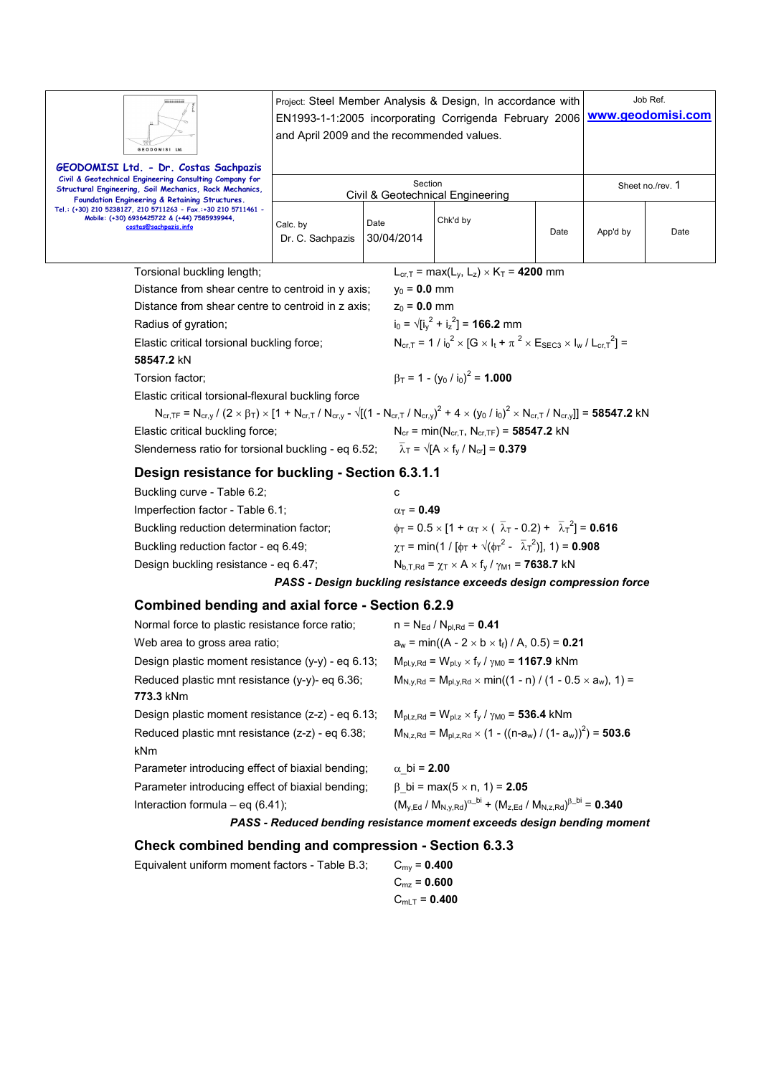| GEODOMISI Ltd                                                                                                                                                                                                 | Project: Steel Member Analysis & Design, In accordance with<br>EN1993-1-1:2005 incorporating Corrigenda February 2006<br>and April 2009 and the recommended values. |                         |                                                                                                                                |      | Job Ref.<br>www.geodomisi.com |      |  |  |
|---------------------------------------------------------------------------------------------------------------------------------------------------------------------------------------------------------------|---------------------------------------------------------------------------------------------------------------------------------------------------------------------|-------------------------|--------------------------------------------------------------------------------------------------------------------------------|------|-------------------------------|------|--|--|
| GEODOMISI Ltd. - Dr. Costas Sachpazis<br>Civil & Geotechnical Engineering Consulting Company for<br>Structural Engineering, Soil Mechanics, Rock Mechanics,<br>Foundation Engineering & Retaining Structures. |                                                                                                                                                                     | Section                 | Civil & Geotechnical Engineering                                                                                               |      | Sheet no./rev. 1              |      |  |  |
| Tel.: (+30) 210 5238127, 210 5711263 - Fax.:+30 210 5711461 -<br>Mobile: (+30) 6936425722 & (+44) 7585939944,<br>costas@sachpazis.info                                                                        | Calc. by<br>Dr. C. Sachpazis                                                                                                                                        | Date<br>30/04/2014      | Chk'd by                                                                                                                       | Date | App'd by                      | Date |  |  |
| Torsional buckling length;                                                                                                                                                                                    |                                                                                                                                                                     |                         | $L_{cr,T}$ = max( $L_v$ , $L_z$ ) × K <sub>T</sub> = 4200 mm                                                                   |      |                               |      |  |  |
| Distance from shear centre to centroid in y axis;                                                                                                                                                             |                                                                                                                                                                     | $y_0 = 0.0$ mm          |                                                                                                                                |      |                               |      |  |  |
| Distance from shear centre to centroid in z axis;                                                                                                                                                             |                                                                                                                                                                     | $z_0 = 0.0$ mm          |                                                                                                                                |      |                               |      |  |  |
| Radius of gyration;                                                                                                                                                                                           |                                                                                                                                                                     |                         | $i_0 = \sqrt{[i_v^2 + i_z^2]} = 166.2$ mm                                                                                      |      |                               |      |  |  |
| Elastic critical torsional buckling force;<br>58547.2 kN                                                                                                                                                      |                                                                                                                                                                     |                         | $N_{\text{ccl}} = 1 / i_0^2 \times [G \times I_t + \pi^2 \times E_{\text{SEC3}} \times I_w / L_{\text{ccl}}^2] =$              |      |                               |      |  |  |
| Torsion factor;                                                                                                                                                                                               |                                                                                                                                                                     |                         | $\beta_T = 1 - (y_0 / i_0)^2 = 1.000$                                                                                          |      |                               |      |  |  |
| Elastic critical torsional-flexural buckling force                                                                                                                                                            |                                                                                                                                                                     |                         |                                                                                                                                |      |                               |      |  |  |
| $N_{cr,TF} = N_{cr,y}/(2 \times \beta_T) \times [1 + N_{cr,T}/N_{cr,y} - \sqrt{[(1 - N_{cr,T}/N_{cr,y})^2 + 4 \times (y_0/ i_0)^2 \times N_{cr,T}/N_{cr,y}]}] = 58547.2 \text{ kN}$                           |                                                                                                                                                                     |                         |                                                                                                                                |      |                               |      |  |  |
| Elastic critical buckling force;                                                                                                                                                                              | $N_{cr}$ = min( $N_{cr,T}$ , $N_{cr,TF}$ ) = 58547.2 kN                                                                                                             |                         |                                                                                                                                |      |                               |      |  |  |
| Slenderness ratio for torsional buckling - eq 6.52; $\overline{\lambda}_T = \sqrt{[A \times f_v / N_{cr}]} = 0.379$                                                                                           |                                                                                                                                                                     |                         |                                                                                                                                |      |                               |      |  |  |
| Design resistance for buckling - Section 6.3.1.1                                                                                                                                                              |                                                                                                                                                                     |                         |                                                                                                                                |      |                               |      |  |  |
| Buckling curve - Table 6.2;                                                                                                                                                                                   | C                                                                                                                                                                   |                         |                                                                                                                                |      |                               |      |  |  |
| Imperfection factor - Table 6.1;                                                                                                                                                                              |                                                                                                                                                                     |                         | $\alpha$ <sub>T</sub> = 0.49                                                                                                   |      |                               |      |  |  |
| Buckling reduction determination factor;                                                                                                                                                                      |                                                                                                                                                                     |                         | $\phi_T = 0.5 \times [1 + \alpha_T \times (\overline{\lambda}_T - 0.2) + \overline{\lambda}_T^2] = 0.616$                      |      |                               |      |  |  |
| Buckling reduction factor - eq 6.49;                                                                                                                                                                          |                                                                                                                                                                     |                         | $\chi_{\text{T}}$ = min(1 / [ $\phi_{\text{T}}$ + $\sqrt{(\phi_{\text{T}}^2 - \overline{\lambda}_{\text{T}}^2)}$ ], 1) = 0.908 |      |                               |      |  |  |
| Design buckling resistance - eq 6.47;                                                                                                                                                                         |                                                                                                                                                                     |                         | $N_{b,T,Rd} = \chi_T \times A \times f_V / \gamma_{M1} = 7638.7$ kN                                                            |      |                               |      |  |  |
|                                                                                                                                                                                                               |                                                                                                                                                                     |                         | PASS - Design buckling resistance exceeds design compression force                                                             |      |                               |      |  |  |
| <b>Combined bending and axial force - Section 6.2.9</b>                                                                                                                                                       |                                                                                                                                                                     |                         |                                                                                                                                |      |                               |      |  |  |
| Normal force to plastic resistance force ratio;                                                                                                                                                               |                                                                                                                                                                     |                         | $n = N_{Ed} / N_{pl, Rd} = 0.41$                                                                                               |      |                               |      |  |  |
| Web area to gross area ratio;                                                                                                                                                                                 |                                                                                                                                                                     |                         | $a_w = min((A - 2 \times b \times t) / A, 0.5) = 0.21$                                                                         |      |                               |      |  |  |
| Design plastic moment resistance (y-y) - eq 6.13;                                                                                                                                                             |                                                                                                                                                                     |                         | $M_{pl,y,Rd} = W_{pl,y} \times f_y / \gamma_{M0} = 1167.9$ kNm                                                                 |      |                               |      |  |  |
| Reduced plastic mnt resistance (y-y)- eq 6.36;<br>773.3 kNm                                                                                                                                                   |                                                                                                                                                                     |                         | $M_{N,y,Rd} = M_{pl,y,Rd} \times min((1 - n) / (1 - 0.5 \times a_w), 1) =$                                                     |      |                               |      |  |  |
| Design plastic moment resistance (z-z) - eq 6.13;                                                                                                                                                             |                                                                                                                                                                     |                         | $M_{\rm pl, z, Rd} = W_{\rm pl, z} \times f_{\rm v} / \gamma_{\rm M0} = 536.4$ kNm                                             |      |                               |      |  |  |
| Reduced plastic mnt resistance (z-z) - eq 6.38;                                                                                                                                                               |                                                                                                                                                                     |                         | $M_{N,z,Rd} = M_{pl,z,Rd} \times (1 - ((n-a_w) / (1-a_w))^2) = 503.6$                                                          |      |                               |      |  |  |
| kNm                                                                                                                                                                                                           |                                                                                                                                                                     |                         |                                                                                                                                |      |                               |      |  |  |
| Parameter introducing effect of biaxial bending;                                                                                                                                                              | $\alpha$ bi = 2.00                                                                                                                                                  |                         |                                                                                                                                |      |                               |      |  |  |
| Parameter introducing effect of biaxial bending;                                                                                                                                                              | $β$ bi = max(5 × n, 1) = <b>2.05</b>                                                                                                                                |                         |                                                                                                                                |      |                               |      |  |  |
| Interaction formula $-$ eq (6.41);                                                                                                                                                                            | $(M_{y,Ed} / M_{N,y,Rd})^{\alpha_b}$ + $(M_{z,Ed} / M_{N,z,Rd})^{\beta_b}$ = 0.340                                                                                  |                         |                                                                                                                                |      |                               |      |  |  |
|                                                                                                                                                                                                               |                                                                                                                                                                     |                         | PASS - Reduced bending resistance moment exceeds design bending moment                                                         |      |                               |      |  |  |
| Check combined bending and compression - Section 6.3.3                                                                                                                                                        |                                                                                                                                                                     |                         |                                                                                                                                |      |                               |      |  |  |
| Equivalent uniform moment factors - Table B.3;                                                                                                                                                                |                                                                                                                                                                     | $C_{\text{mv}} = 0.400$ |                                                                                                                                |      |                               |      |  |  |
|                                                                                                                                                                                                               |                                                                                                                                                                     | $C_{\text{mz}} = 0.600$ |                                                                                                                                |      |                               |      |  |  |
|                                                                                                                                                                                                               |                                                                                                                                                                     | $C_{mLT} = 0.400$       |                                                                                                                                |      |                               |      |  |  |